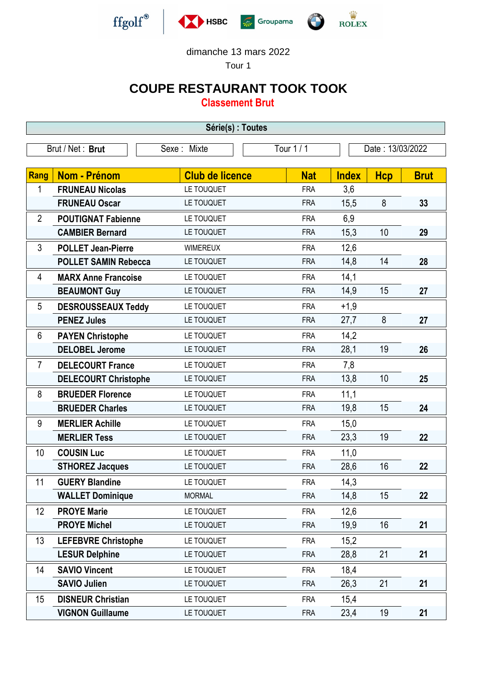

dimanche 13 mars 2022

Tour 1

## **COUPE RESTAURANT TOOK TOOK**

**Classement Brut**

| Série(s) : Toutes |                             |                        |            |                  |            |             |  |  |  |  |
|-------------------|-----------------------------|------------------------|------------|------------------|------------|-------------|--|--|--|--|
|                   | Brut / Net: Brut            | Sexe: Mixte            | Tour 1 / 1 | Date: 13/03/2022 |            |             |  |  |  |  |
|                   |                             |                        |            |                  |            |             |  |  |  |  |
| Rang              | <b>Nom - Prénom</b>         | <b>Club de licence</b> | <b>Nat</b> | <b>Index</b>     | <b>Hcp</b> | <b>Brut</b> |  |  |  |  |
| 1                 | <b>FRUNEAU Nicolas</b>      | LE TOUQUET             | <b>FRA</b> | 3,6              |            |             |  |  |  |  |
|                   | <b>FRUNEAU Oscar</b>        | LE TOUQUET             | <b>FRA</b> | 15,5             | 8          | 33          |  |  |  |  |
| $\overline{2}$    | <b>POUTIGNAT Fabienne</b>   | LE TOUQUET             | <b>FRA</b> | 6,9              |            |             |  |  |  |  |
|                   | <b>CAMBIER Bernard</b>      | LE TOUQUET             | <b>FRA</b> | 15,3             | 10         | 29          |  |  |  |  |
| 3                 | <b>POLLET Jean-Pierre</b>   | <b>WIMEREUX</b>        | <b>FRA</b> | 12,6             |            |             |  |  |  |  |
|                   | <b>POLLET SAMIN Rebecca</b> | LE TOUQUET             | <b>FRA</b> | 14,8             | 14         | 28          |  |  |  |  |
| 4                 | <b>MARX Anne Francoise</b>  | LE TOUQUET             | <b>FRA</b> | 14,1             |            |             |  |  |  |  |
|                   | <b>BEAUMONT Guy</b>         | LE TOUQUET             | <b>FRA</b> | 14,9             | 15         | 27          |  |  |  |  |
| 5                 | <b>DESROUSSEAUX Teddy</b>   | LE TOUQUET             | <b>FRA</b> | $+1,9$           |            |             |  |  |  |  |
|                   | <b>PENEZ Jules</b>          | LE TOUQUET             | <b>FRA</b> | 27,7             | 8          | 27          |  |  |  |  |
| 6                 | <b>PAYEN Christophe</b>     | LE TOUQUET             | <b>FRA</b> | 14,2             |            |             |  |  |  |  |
|                   | <b>DELOBEL Jerome</b>       | LE TOUQUET             | <b>FRA</b> | 28,1             | 19         | 26          |  |  |  |  |
| $\overline{7}$    | <b>DELECOURT France</b>     | LE TOUQUET             | <b>FRA</b> | 7,8              |            |             |  |  |  |  |
|                   | <b>DELECOURT Christophe</b> | LE TOUQUET             | <b>FRA</b> | 13,8             | 10         | 25          |  |  |  |  |
| 8                 | <b>BRUEDER Florence</b>     | LE TOUQUET             | <b>FRA</b> | 11,1             |            |             |  |  |  |  |
|                   | <b>BRUEDER Charles</b>      | LE TOUQUET             | <b>FRA</b> | 19,8             | 15         | 24          |  |  |  |  |
| 9                 | <b>MERLIER Achille</b>      | LE TOUQUET             | <b>FRA</b> | 15,0             |            |             |  |  |  |  |
|                   | <b>MERLIER Tess</b>         | LE TOUQUET             | <b>FRA</b> | 23,3             | 19         | 22          |  |  |  |  |
| 10                | <b>COUSIN Luc</b>           | LE TOUQUET             | <b>FRA</b> | 11,0             |            |             |  |  |  |  |
|                   | <b>STHOREZ Jacques</b>      | LE TOUQUET             | <b>FRA</b> | 28,6             | 16         | 22          |  |  |  |  |
| 11                | <b>GUERY Blandine</b>       | LE TOUQUET             | <b>FRA</b> | 14,3             |            |             |  |  |  |  |
|                   | <b>WALLET Dominique</b>     | <b>MORMAL</b>          | <b>FRA</b> | 14,8             | 15         | 22          |  |  |  |  |
| 12                | <b>PROYE Marie</b>          | LE TOUQUET             | <b>FRA</b> | 12,6             |            |             |  |  |  |  |
|                   | <b>PROYE Michel</b>         | LE TOUQUET             | <b>FRA</b> | 19,9             | 16         | 21          |  |  |  |  |
| 13                | <b>LEFEBVRE Christophe</b>  | LE TOUQUET             | <b>FRA</b> | 15,2             |            |             |  |  |  |  |
|                   | <b>LESUR Delphine</b>       | LE TOUQUET             | <b>FRA</b> | 28,8             | 21         | 21          |  |  |  |  |
| 14                | <b>SAVIO Vincent</b>        | LE TOUQUET             | <b>FRA</b> | 18,4             |            |             |  |  |  |  |
|                   | <b>SAVIO Julien</b>         | LE TOUQUET             | <b>FRA</b> | 26,3             | 21         | 21          |  |  |  |  |
| 15                | <b>DISNEUR Christian</b>    | LE TOUQUET             | <b>FRA</b> | 15,4             |            |             |  |  |  |  |
|                   | <b>VIGNON Guillaume</b>     | LE TOUQUET             | <b>FRA</b> | 23,4             | 19         | 21          |  |  |  |  |